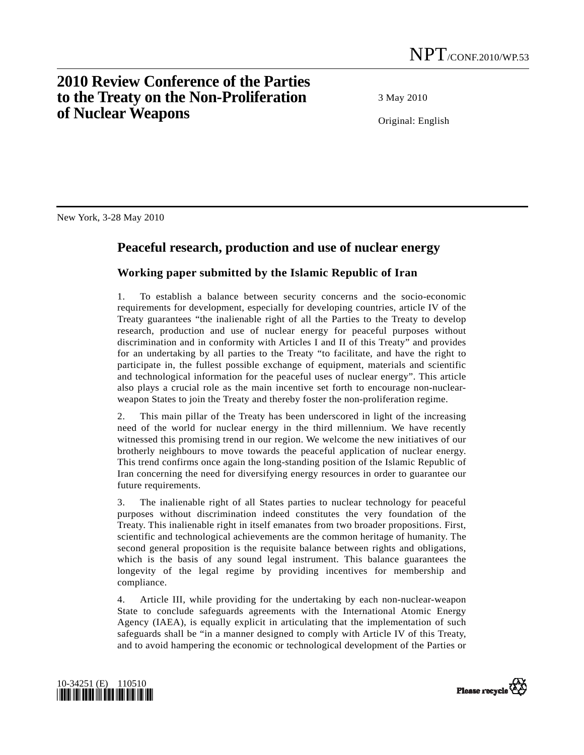## **2010 Review Conference of the Parties to the Treaty on the Non-Proliferation of Nuclear Weapons**

3 May 2010

Original: English

New York, 3-28 May 2010

## **Peaceful research, production and use of nuclear energy**

## **Working paper submitted by the Islamic Republic of Iran**

1. To establish a balance between security concerns and the socio-economic requirements for development, especially for developing countries, article IV of the Treaty guarantees "the inalienable right of all the Parties to the Treaty to develop research, production and use of nuclear energy for peaceful purposes without discrimination and in conformity with Articles I and II of this Treaty" and provides for an undertaking by all parties to the Treaty "to facilitate, and have the right to participate in, the fullest possible exchange of equipment, materials and scientific and technological information for the peaceful uses of nuclear energy". This article also plays a crucial role as the main incentive set forth to encourage non-nuclearweapon States to join the Treaty and thereby foster the non-proliferation regime.

2. This main pillar of the Treaty has been underscored in light of the increasing need of the world for nuclear energy in the third millennium. We have recently witnessed this promising trend in our region. We welcome the new initiatives of our brotherly neighbours to move towards the peaceful application of nuclear energy. This trend confirms once again the long-standing position of the Islamic Republic of Iran concerning the need for diversifying energy resources in order to guarantee our future requirements.

3. The inalienable right of all States parties to nuclear technology for peaceful purposes without discrimination indeed constitutes the very foundation of the Treaty. This inalienable right in itself emanates from two broader propositions. First, scientific and technological achievements are the common heritage of humanity. The second general proposition is the requisite balance between rights and obligations, which is the basis of any sound legal instrument. This balance guarantees the longevity of the legal regime by providing incentives for membership and compliance.

4. Article III, while providing for the undertaking by each non-nuclear-weapon State to conclude safeguards agreements with the International Atomic Energy Agency (IAEA), is equally explicit in articulating that the implementation of such safeguards shall be "in a manner designed to comply with Article IV of this Treaty, and to avoid hampering the economic or technological development of the Parties or



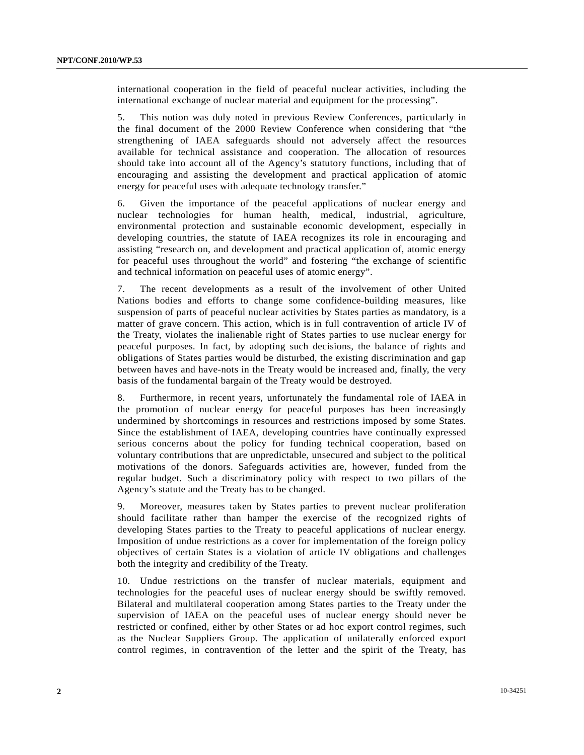international cooperation in the field of peaceful nuclear activities, including the international exchange of nuclear material and equipment for the processing".

5. This notion was duly noted in previous Review Conferences, particularly in the final document of the 2000 Review Conference when considering that "the strengthening of IAEA safeguards should not adversely affect the resources available for technical assistance and cooperation. The allocation of resources should take into account all of the Agency's statutory functions, including that of encouraging and assisting the development and practical application of atomic energy for peaceful uses with adequate technology transfer."

6. Given the importance of the peaceful applications of nuclear energy and nuclear technologies for human health, medical, industrial, agriculture, environmental protection and sustainable economic development, especially in developing countries, the statute of IAEA recognizes its role in encouraging and assisting "research on, and development and practical application of, atomic energy for peaceful uses throughout the world" and fostering "the exchange of scientific and technical information on peaceful uses of atomic energy".

7. The recent developments as a result of the involvement of other United Nations bodies and efforts to change some confidence-building measures, like suspension of parts of peaceful nuclear activities by States parties as mandatory, is a matter of grave concern. This action, which is in full contravention of article IV of the Treaty, violates the inalienable right of States parties to use nuclear energy for peaceful purposes. In fact, by adopting such decisions, the balance of rights and obligations of States parties would be disturbed, the existing discrimination and gap between haves and have-nots in the Treaty would be increased and, finally, the very basis of the fundamental bargain of the Treaty would be destroyed.

8. Furthermore, in recent years, unfortunately the fundamental role of IAEA in the promotion of nuclear energy for peaceful purposes has been increasingly undermined by shortcomings in resources and restrictions imposed by some States. Since the establishment of IAEA, developing countries have continually expressed serious concerns about the policy for funding technical cooperation, based on voluntary contributions that are unpredictable, unsecured and subject to the political motivations of the donors. Safeguards activities are, however, funded from the regular budget. Such a discriminatory policy with respect to two pillars of the Agency's statute and the Treaty has to be changed.

9. Moreover, measures taken by States parties to prevent nuclear proliferation should facilitate rather than hamper the exercise of the recognized rights of developing States parties to the Treaty to peaceful applications of nuclear energy. Imposition of undue restrictions as a cover for implementation of the foreign policy objectives of certain States is a violation of article IV obligations and challenges both the integrity and credibility of the Treaty.

10. Undue restrictions on the transfer of nuclear materials, equipment and technologies for the peaceful uses of nuclear energy should be swiftly removed. Bilateral and multilateral cooperation among States parties to the Treaty under the supervision of IAEA on the peaceful uses of nuclear energy should never be restricted or confined, either by other States or ad hoc export control regimes, such as the Nuclear Suppliers Group. The application of unilaterally enforced export control regimes, in contravention of the letter and the spirit of the Treaty, has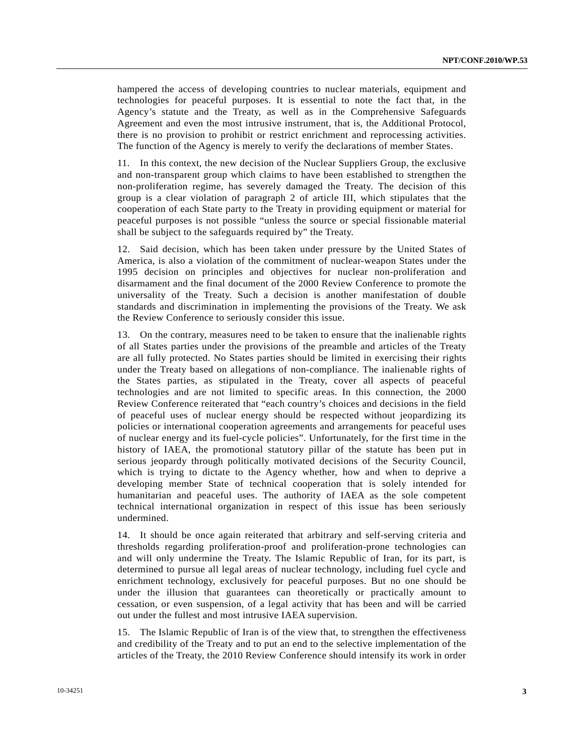hampered the access of developing countries to nuclear materials, equipment and technologies for peaceful purposes. It is essential to note the fact that, in the Agency's statute and the Treaty, as well as in the Comprehensive Safeguards Agreement and even the most intrusive instrument, that is, the Additional Protocol, there is no provision to prohibit or restrict enrichment and reprocessing activities. The function of the Agency is merely to verify the declarations of member States.

11. In this context, the new decision of the Nuclear Suppliers Group, the exclusive and non-transparent group which claims to have been established to strengthen the non-proliferation regime, has severely damaged the Treaty. The decision of this group is a clear violation of paragraph 2 of article III, which stipulates that the cooperation of each State party to the Treaty in providing equipment or material for peaceful purposes is not possible "unless the source or special fissionable material shall be subject to the safeguards required by" the Treaty.

12. Said decision, which has been taken under pressure by the United States of America, is also a violation of the commitment of nuclear-weapon States under the 1995 decision on principles and objectives for nuclear non-proliferation and disarmament and the final document of the 2000 Review Conference to promote the universality of the Treaty. Such a decision is another manifestation of double standards and discrimination in implementing the provisions of the Treaty. We ask the Review Conference to seriously consider this issue.

13. On the contrary, measures need to be taken to ensure that the inalienable rights of all States parties under the provisions of the preamble and articles of the Treaty are all fully protected. No States parties should be limited in exercising their rights under the Treaty based on allegations of non-compliance. The inalienable rights of the States parties, as stipulated in the Treaty, cover all aspects of peaceful technologies and are not limited to specific areas. In this connection, the 2000 Review Conference reiterated that "each country's choices and decisions in the field of peaceful uses of nuclear energy should be respected without jeopardizing its policies or international cooperation agreements and arrangements for peaceful uses of nuclear energy and its fuel-cycle policies". Unfortunately, for the first time in the history of IAEA, the promotional statutory pillar of the statute has been put in serious jeopardy through politically motivated decisions of the Security Council, which is trying to dictate to the Agency whether, how and when to deprive a developing member State of technical cooperation that is solely intended for humanitarian and peaceful uses. The authority of IAEA as the sole competent technical international organization in respect of this issue has been seriously undermined.

14. It should be once again reiterated that arbitrary and self-serving criteria and thresholds regarding proliferation-proof and proliferation-prone technologies can and will only undermine the Treaty. The Islamic Republic of Iran, for its part, is determined to pursue all legal areas of nuclear technology, including fuel cycle and enrichment technology, exclusively for peaceful purposes. But no one should be under the illusion that guarantees can theoretically or practically amount to cessation, or even suspension, of a legal activity that has been and will be carried out under the fullest and most intrusive IAEA supervision.

15. The Islamic Republic of Iran is of the view that, to strengthen the effectiveness and credibility of the Treaty and to put an end to the selective implementation of the articles of the Treaty, the 2010 Review Conference should intensify its work in order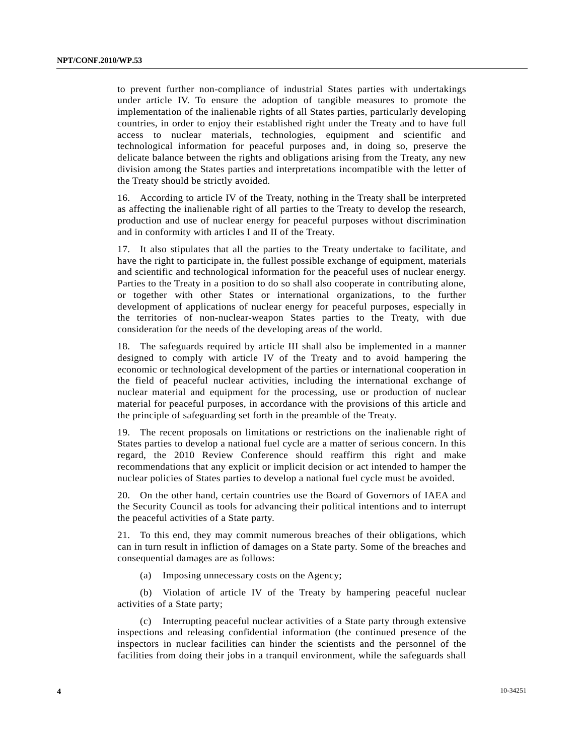to prevent further non-compliance of industrial States parties with undertakings under article IV. To ensure the adoption of tangible measures to promote the implementation of the inalienable rights of all States parties, particularly developing countries, in order to enjoy their established right under the Treaty and to have full access to nuclear materials, technologies, equipment and scientific and technological information for peaceful purposes and, in doing so, preserve the delicate balance between the rights and obligations arising from the Treaty, any new division among the States parties and interpretations incompatible with the letter of the Treaty should be strictly avoided.

16. According to article IV of the Treaty, nothing in the Treaty shall be interpreted as affecting the inalienable right of all parties to the Treaty to develop the research, production and use of nuclear energy for peaceful purposes without discrimination and in conformity with articles I and II of the Treaty.

17. It also stipulates that all the parties to the Treaty undertake to facilitate, and have the right to participate in, the fullest possible exchange of equipment, materials and scientific and technological information for the peaceful uses of nuclear energy. Parties to the Treaty in a position to do so shall also cooperate in contributing alone, or together with other States or international organizations, to the further development of applications of nuclear energy for peaceful purposes, especially in the territories of non-nuclear-weapon States parties to the Treaty, with due consideration for the needs of the developing areas of the world.

18. The safeguards required by article III shall also be implemented in a manner designed to comply with article IV of the Treaty and to avoid hampering the economic or technological development of the parties or international cooperation in the field of peaceful nuclear activities, including the international exchange of nuclear material and equipment for the processing, use or production of nuclear material for peaceful purposes, in accordance with the provisions of this article and the principle of safeguarding set forth in the preamble of the Treaty.

19. The recent proposals on limitations or restrictions on the inalienable right of States parties to develop a national fuel cycle are a matter of serious concern. In this regard, the 2010 Review Conference should reaffirm this right and make recommendations that any explicit or implicit decision or act intended to hamper the nuclear policies of States parties to develop a national fuel cycle must be avoided.

20. On the other hand, certain countries use the Board of Governors of IAEA and the Security Council as tools for advancing their political intentions and to interrupt the peaceful activities of a State party.

21. To this end, they may commit numerous breaches of their obligations, which can in turn result in infliction of damages on a State party. Some of the breaches and consequential damages are as follows:

(a) Imposing unnecessary costs on the Agency;

 (b) Violation of article IV of the Treaty by hampering peaceful nuclear activities of a State party;

 (c) Interrupting peaceful nuclear activities of a State party through extensive inspections and releasing confidential information (the continued presence of the inspectors in nuclear facilities can hinder the scientists and the personnel of the facilities from doing their jobs in a tranquil environment, while the safeguards shall